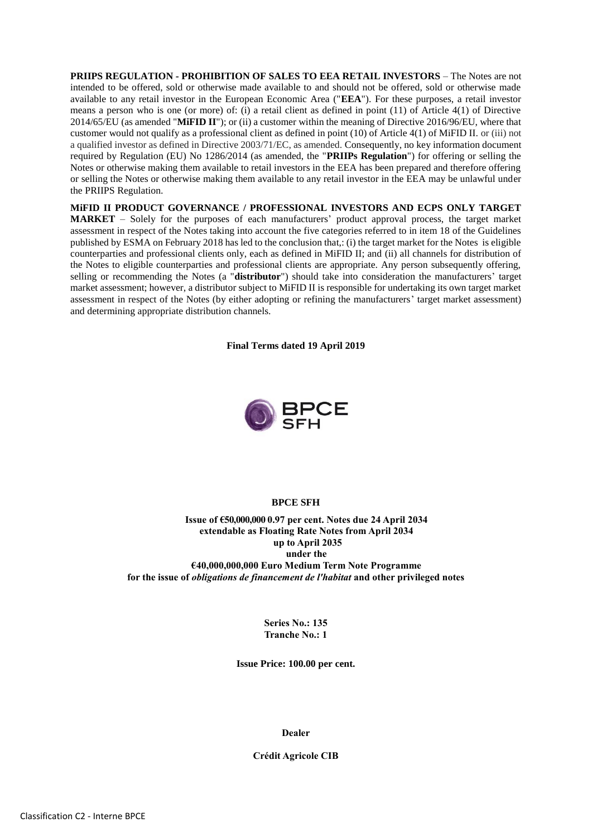**PRIIPS REGULATION - PROHIBITION OF SALES TO EEA RETAIL INVESTORS** – The Notes are not intended to be offered, sold or otherwise made available to and should not be offered, sold or otherwise made available to any retail investor in the European Economic Area ("**EEA**"). For these purposes, a retail investor means a person who is one (or more) of: (i) a retail client as defined in point (11) of Article 4(1) of Directive 2014/65/EU (as amended "**MiFID II**"); or (ii) a customer within the meaning of Directive 2016/96/EU, where that customer would not qualify as a professional client as defined in point (10) of Article 4(1) of MiFID II. or (iii) not a qualified investor as defined in Directive 2003/71/EC, as amended. Consequently, no key information document required by Regulation (EU) No 1286/2014 (as amended, the "**PRIIPs Regulation**") for offering or selling the Notes or otherwise making them available to retail investors in the EEA has been prepared and therefore offering or selling the Notes or otherwise making them available to any retail investor in the EEA may be unlawful under the PRIIPS Regulation.

**MiFID II PRODUCT GOVERNANCE / PROFESSIONAL INVESTORS AND ECPS ONLY TARGET MARKET** – Solely for the purposes of each manufacturers' product approval process, the target market assessment in respect of the Notes taking into account the five categories referred to in item 18 of the Guidelines published by ESMA on February 2018 has led to the conclusion that,: (i) the target market for the Notes is eligible counterparties and professional clients only, each as defined in MiFID II; and (ii) all channels for distribution of the Notes to eligible counterparties and professional clients are appropriate. Any person subsequently offering, selling or recommending the Notes (a "**distributor**") should take into consideration the manufacturers' target market assessment; however, a distributor subject to MiFID II is responsible for undertaking its own target market assessment in respect of the Notes (by either adopting or refining the manufacturers' target market assessment) and determining appropriate distribution channels.

**Final Terms dated 19 April 2019**



#### **BPCE SFH**

**Issue of €50,000,000 0.97 per cent. Notes due 24 April 2034 extendable as Floating Rate Notes from April 2034 up to April 2035 under the €40,000,000,000 Euro Medium Term Note Programme for the issue of** *obligations de financement de l'habitat* **and other privileged notes**

> **Series No.: 135 Tranche No.: 1**

**Issue Price: 100.00 per cent.**

**Dealer**

**Crédit Agricole CIB**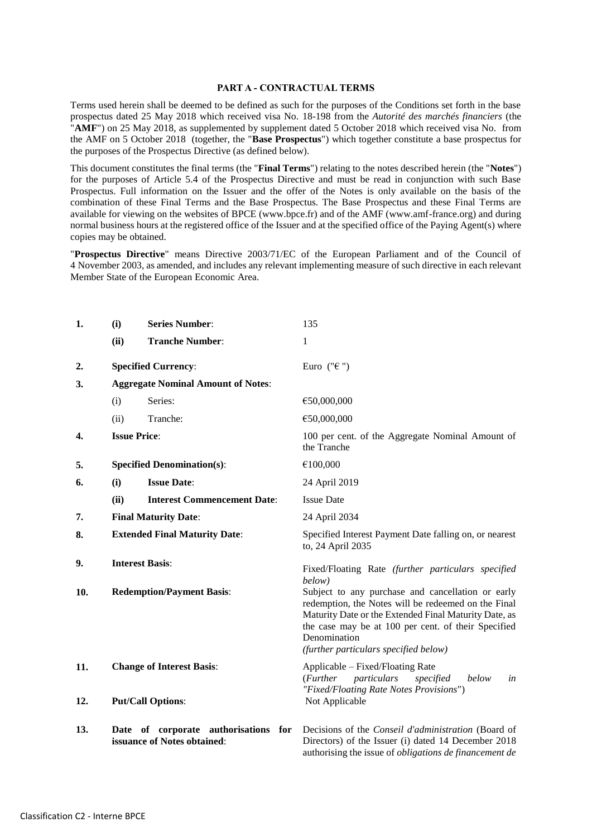#### **PART A - CONTRACTUAL TERMS**

Terms used herein shall be deemed to be defined as such for the purposes of the Conditions set forth in the base prospectus dated 25 May 2018 which received visa No. 18-198 from the *Autorité des marchés financiers* (the "**AMF**") on 25 May 2018, as supplemented by supplement dated 5 October 2018 which received visa No. from the AMF on 5 October 2018 (together, the "**Base Prospectus**") which together constitute a base prospectus for the purposes of the Prospectus Directive (as defined below).

This document constitutes the final terms (the "**Final Terms**") relating to the notes described herein (the "**Notes**") for the purposes of Article 5.4 of the Prospectus Directive and must be read in conjunction with such Base Prospectus. Full information on the Issuer and the offer of the Notes is only available on the basis of the combination of these Final Terms and the Base Prospectus. The Base Prospectus and these Final Terms are available for viewing on the websites of BPCE (www.bpce.fr) and of the AMF (www.amf-france.org) and during normal business hours at the registered office of the Issuer and at the specified office of the Paying Agent(s) where copies may be obtained.

"**Prospectus Directive**" means Directive 2003/71/EC of the European Parliament and of the Council of 4 November 2003, as amended, and includes any relevant implementing measure of such directive in each relevant Member State of the European Economic Area.

| 1.             | (i)                                                       | <b>Series Number:</b>                                               | 135                                                                                                                                                                                                                                                                               |  |
|----------------|-----------------------------------------------------------|---------------------------------------------------------------------|-----------------------------------------------------------------------------------------------------------------------------------------------------------------------------------------------------------------------------------------------------------------------------------|--|
|                | (ii)                                                      | <b>Tranche Number:</b>                                              | 1                                                                                                                                                                                                                                                                                 |  |
| $\mathbf{2}$ . |                                                           | <b>Specified Currency:</b>                                          | Euro (" $\varepsilon$ ")                                                                                                                                                                                                                                                          |  |
| 3.             |                                                           | <b>Aggregate Nominal Amount of Notes:</b>                           |                                                                                                                                                                                                                                                                                   |  |
|                | (i)                                                       | Series:                                                             | €50,000,000                                                                                                                                                                                                                                                                       |  |
|                | (ii)                                                      | Tranche:                                                            | €50,000,000                                                                                                                                                                                                                                                                       |  |
| 4.             | <b>Issue Price:</b>                                       |                                                                     | 100 per cent. of the Aggregate Nominal Amount of<br>the Tranche                                                                                                                                                                                                                   |  |
| 5.             | <b>Specified Denomination(s):</b>                         |                                                                     | €100,000                                                                                                                                                                                                                                                                          |  |
| 6.             | (i)                                                       | <b>Issue Date:</b>                                                  | 24 April 2019                                                                                                                                                                                                                                                                     |  |
|                | (ii)                                                      | <b>Interest Commencement Date:</b>                                  | <b>Issue Date</b>                                                                                                                                                                                                                                                                 |  |
| 7.             | <b>Final Maturity Date:</b>                               |                                                                     | 24 April 2034                                                                                                                                                                                                                                                                     |  |
| 8.             | <b>Extended Final Maturity Date:</b><br>to, 24 April 2035 |                                                                     | Specified Interest Payment Date falling on, or nearest                                                                                                                                                                                                                            |  |
| 9.             |                                                           | <b>Interest Basis:</b>                                              | Fixed/Floating Rate (further particulars specified<br>below)                                                                                                                                                                                                                      |  |
| 10.            |                                                           | <b>Redemption/Payment Basis:</b>                                    | Subject to any purchase and cancellation or early<br>redemption, the Notes will be redeemed on the Final<br>Maturity Date or the Extended Final Maturity Date, as<br>the case may be at 100 per cent. of their Specified<br>Denomination<br>(further particulars specified below) |  |
| 11.            |                                                           | <b>Change of Interest Basis:</b>                                    | Applicable – Fixed/Floating Rate<br>( <i>Further</i><br>particulars<br>below<br>specified<br>in<br>"Fixed/Floating Rate Notes Provisions")                                                                                                                                        |  |
| 12.            |                                                           | <b>Put/Call Options:</b>                                            | Not Applicable                                                                                                                                                                                                                                                                    |  |
| 13.            |                                                           | Date of corporate authorisations for<br>issuance of Notes obtained: | Decisions of the Conseil d'administration (Board of<br>Directors) of the Issuer (i) dated 14 December 2018<br>authorising the issue of <i>obligations de financement de</i>                                                                                                       |  |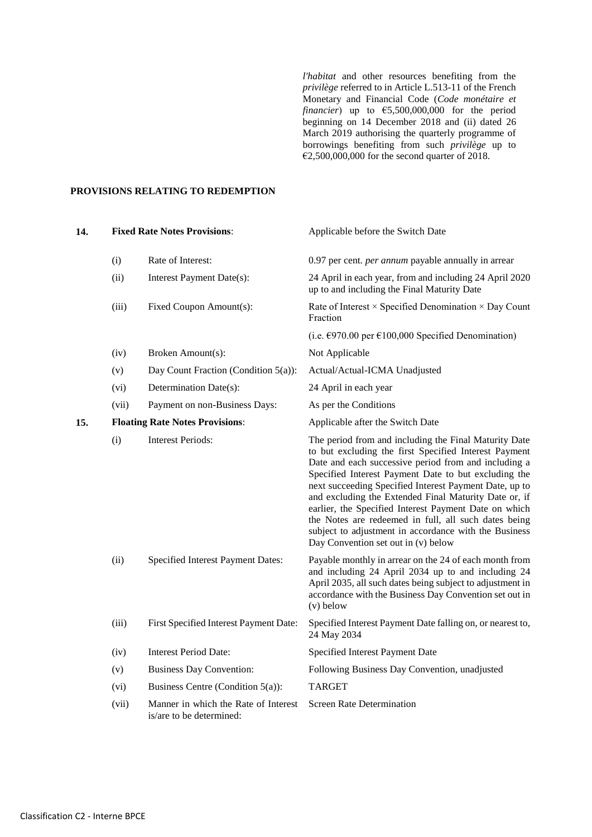*l'habitat* and other resources benefiting from the *privilège* referred to in Article L.513-11 of the French Monetary and Financial Code (*Code monétaire et financier*) up to  $65,500,000,000$  for the period beginning on 14 December 2018 and (ii) dated 26 March 2019 authorising the quarterly programme of borrowings benefiting from such *privilège* up to €2,500,000,000 for the second quarter of 2018.

# **PROVISIONS RELATING TO REDEMPTION**

| 14. |       | <b>Fixed Rate Notes Provisions:</b>                              | Applicable before the Switch Date                                                                                                                                                                                                                                                                                                                                                                                                                                                                                                                                  |
|-----|-------|------------------------------------------------------------------|--------------------------------------------------------------------------------------------------------------------------------------------------------------------------------------------------------------------------------------------------------------------------------------------------------------------------------------------------------------------------------------------------------------------------------------------------------------------------------------------------------------------------------------------------------------------|
|     | (i)   | Rate of Interest:                                                | 0.97 per cent. <i>per annum</i> payable annually in arrear                                                                                                                                                                                                                                                                                                                                                                                                                                                                                                         |
|     | (ii)  | Interest Payment Date(s):                                        | 24 April in each year, from and including 24 April 2020<br>up to and including the Final Maturity Date                                                                                                                                                                                                                                                                                                                                                                                                                                                             |
|     | (iii) | Fixed Coupon Amount(s):                                          | Rate of Interest $\times$ Specified Denomination $\times$ Day Count<br>Fraction                                                                                                                                                                                                                                                                                                                                                                                                                                                                                    |
|     |       |                                                                  | (i.e. $\text{\textsterling}970.00$ per $\text{\textsterling}100,000$ Specified Denomination)                                                                                                                                                                                                                                                                                                                                                                                                                                                                       |
|     | (iv)  | Broken Amount(s):                                                | Not Applicable                                                                                                                                                                                                                                                                                                                                                                                                                                                                                                                                                     |
|     | (v)   | Day Count Fraction (Condition 5(a)):                             | Actual/Actual-ICMA Unadjusted                                                                                                                                                                                                                                                                                                                                                                                                                                                                                                                                      |
|     | (vi)  | Determination Date(s):                                           | 24 April in each year                                                                                                                                                                                                                                                                                                                                                                                                                                                                                                                                              |
|     | (vii) | Payment on non-Business Days:                                    | As per the Conditions                                                                                                                                                                                                                                                                                                                                                                                                                                                                                                                                              |
| 15. |       | <b>Floating Rate Notes Provisions:</b>                           | Applicable after the Switch Date                                                                                                                                                                                                                                                                                                                                                                                                                                                                                                                                   |
|     | (i)   | <b>Interest Periods:</b>                                         | The period from and including the Final Maturity Date<br>to but excluding the first Specified Interest Payment<br>Date and each successive period from and including a<br>Specified Interest Payment Date to but excluding the<br>next succeeding Specified Interest Payment Date, up to<br>and excluding the Extended Final Maturity Date or, if<br>earlier, the Specified Interest Payment Date on which<br>the Notes are redeemed in full, all such dates being<br>subject to adjustment in accordance with the Business<br>Day Convention set out in (v) below |
|     | (ii)  | Specified Interest Payment Dates:                                | Payable monthly in arrear on the 24 of each month from<br>and including 24 April 2034 up to and including 24<br>April 2035, all such dates being subject to adjustment in<br>accordance with the Business Day Convention set out in<br>$(v)$ below                                                                                                                                                                                                                                                                                                                 |
|     | (iii) | First Specified Interest Payment Date:                           | Specified Interest Payment Date falling on, or nearest to,<br>24 May 2034                                                                                                                                                                                                                                                                                                                                                                                                                                                                                          |
|     | (iv)  | <b>Interest Period Date:</b>                                     | Specified Interest Payment Date                                                                                                                                                                                                                                                                                                                                                                                                                                                                                                                                    |
|     | (v)   | <b>Business Day Convention:</b>                                  | Following Business Day Convention, unadjusted                                                                                                                                                                                                                                                                                                                                                                                                                                                                                                                      |
|     | (vi)  | Business Centre (Condition 5(a)):                                | <b>TARGET</b>                                                                                                                                                                                                                                                                                                                                                                                                                                                                                                                                                      |
|     | (vii) | Manner in which the Rate of Interest<br>is/are to be determined: | <b>Screen Rate Determination</b>                                                                                                                                                                                                                                                                                                                                                                                                                                                                                                                                   |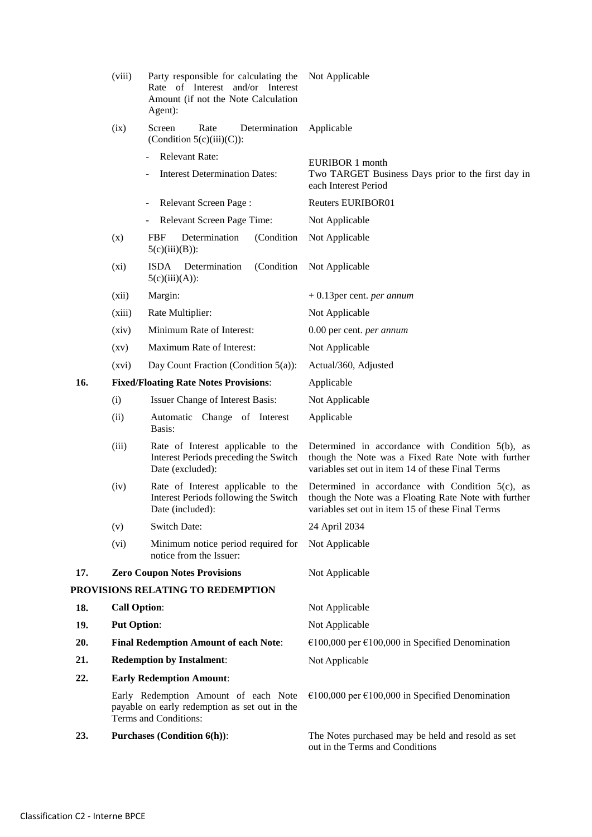|     | (viii)                                       | Party responsible for calculating the<br>Rate of Interest and/or Interest<br>Amount (if not the Note Calculation<br>Agent): | Not Applicable                                                                                                                                                    |
|-----|----------------------------------------------|-----------------------------------------------------------------------------------------------------------------------------|-------------------------------------------------------------------------------------------------------------------------------------------------------------------|
|     | (ix)                                         | Rate<br>Screen<br>Determination<br>(Condition $5(c)(iii)(C)$ ):                                                             | Applicable                                                                                                                                                        |
|     |                                              | Relevant Rate:                                                                                                              | EURIBOR 1 month                                                                                                                                                   |
|     |                                              | <b>Interest Determination Dates:</b>                                                                                        | Two TARGET Business Days prior to the first day in<br>each Interest Period                                                                                        |
|     |                                              | Relevant Screen Page:                                                                                                       | <b>Reuters EURIBOR01</b>                                                                                                                                          |
|     |                                              | Relevant Screen Page Time:                                                                                                  | Not Applicable                                                                                                                                                    |
|     | (x)                                          | <b>FBF</b><br>Determination<br>(Condition<br>$5(c)(iii)(B))$ :                                                              | Not Applicable                                                                                                                                                    |
|     | $(x_i)$                                      | <b>ISDA</b><br>Determination<br>(Condition)<br>$5(c)(iii)(A))$ :                                                            | Not Applicable                                                                                                                                                    |
|     | (xii)                                        | Margin:                                                                                                                     | $+0.13$ per cent. <i>per annum</i>                                                                                                                                |
|     | (xiii)                                       | Rate Multiplier:                                                                                                            | Not Applicable                                                                                                                                                    |
|     | (xiv)                                        | Minimum Rate of Interest:                                                                                                   | 0.00 per cent. per annum                                                                                                                                          |
|     | $\left( xy\right)$                           | Maximum Rate of Interest:                                                                                                   | Not Applicable                                                                                                                                                    |
|     | (xvi)                                        | Day Count Fraction (Condition $5(a)$ ):                                                                                     | Actual/360, Adjusted                                                                                                                                              |
| 16. | <b>Fixed/Floating Rate Notes Provisions:</b> |                                                                                                                             | Applicable                                                                                                                                                        |
|     | (i)                                          | Issuer Change of Interest Basis:                                                                                            | Not Applicable                                                                                                                                                    |
|     | (ii)                                         | Automatic Change of Interest<br>Basis:                                                                                      | Applicable                                                                                                                                                        |
|     | (iii)                                        | Rate of Interest applicable to the<br>Interest Periods preceding the Switch<br>Date (excluded):                             | Determined in accordance with Condition 5(b), as<br>though the Note was a Fixed Rate Note with further<br>variables set out in item 14 of these Final Terms       |
|     | (iv)                                         | Rate of Interest applicable to the<br>Interest Periods following the Switch<br>Date (included):                             | Determined in accordance with Condition $5(c)$ , as<br>though the Note was a Floating Rate Note with further<br>variables set out in item 15 of these Final Terms |
|     | (v)                                          | Switch Date:                                                                                                                | 24 April 2034                                                                                                                                                     |
|     | (vi)                                         | Minimum notice period required for<br>notice from the Issuer:                                                               | Not Applicable                                                                                                                                                    |
| 17. |                                              | <b>Zero Coupon Notes Provisions</b>                                                                                         | Not Applicable                                                                                                                                                    |
|     |                                              | PROVISIONS RELATING TO REDEMPTION                                                                                           |                                                                                                                                                                   |
| 18. | <b>Call Option:</b>                          |                                                                                                                             | Not Applicable                                                                                                                                                    |
| 19. | <b>Put Option:</b>                           |                                                                                                                             | Not Applicable                                                                                                                                                    |
| 20. | <b>Final Redemption Amount of each Note:</b> |                                                                                                                             | $€100,000$ per $€100,000$ in Specified Denomination                                                                                                               |
| 21. | <b>Redemption by Instalment:</b>             |                                                                                                                             | Not Applicable                                                                                                                                                    |
| 22. | <b>Early Redemption Amount:</b>              |                                                                                                                             |                                                                                                                                                                   |
|     |                                              | Early Redemption Amount of each Note<br>payable on early redemption as set out in the<br>Terms and Conditions:              | €100,000 per €100,000 in Specified Denomination                                                                                                                   |
| 23. |                                              | <b>Purchases (Condition 6(h)):</b>                                                                                          | The Notes purchased may be held and resold as set<br>out in the Terms and Conditions                                                                              |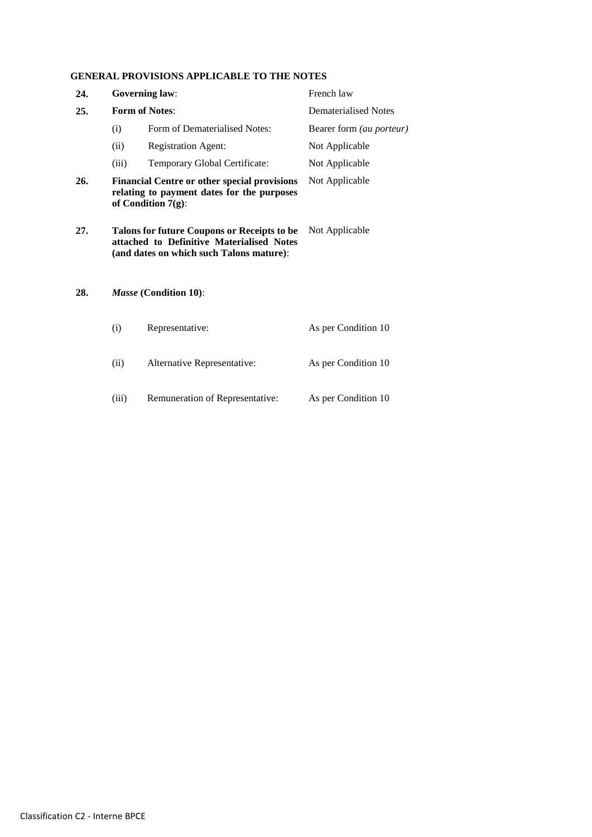# **GENERAL PROVISIONS APPLICABLE TO THE NOTES**

| 24. |       | <b>Governing law:</b>                                                                                                                       | French law                  |  |
|-----|-------|---------------------------------------------------------------------------------------------------------------------------------------------|-----------------------------|--|
| 25. |       | <b>Form of Notes:</b>                                                                                                                       | <b>Dematerialised Notes</b> |  |
|     | (i)   | Form of Dematerialised Notes:                                                                                                               | Bearer form (au porteur)    |  |
|     | (ii)  | <b>Registration Agent:</b>                                                                                                                  | Not Applicable              |  |
|     | (iii) | Temporary Global Certificate:                                                                                                               | Not Applicable              |  |
| 26. |       | <b>Financial Centre or other special provisions</b><br>relating to payment dates for the purposes<br>of Condition 7(g):                     | Not Applicable              |  |
| 27. |       | <b>Talons for future Coupons or Receipts to be</b><br>attached to Definitive Materialised Notes<br>(and dates on which such Talons mature): | Not Applicable              |  |
| 28. |       | <i>Masse</i> (Condition 10):                                                                                                                |                             |  |
|     | (i)   | Representative:                                                                                                                             | As per Condition 10         |  |
|     | (ii)  | Alternative Representative:                                                                                                                 | As per Condition 10         |  |
|     | (iii) | Remuneration of Representative:                                                                                                             | As per Condition 10         |  |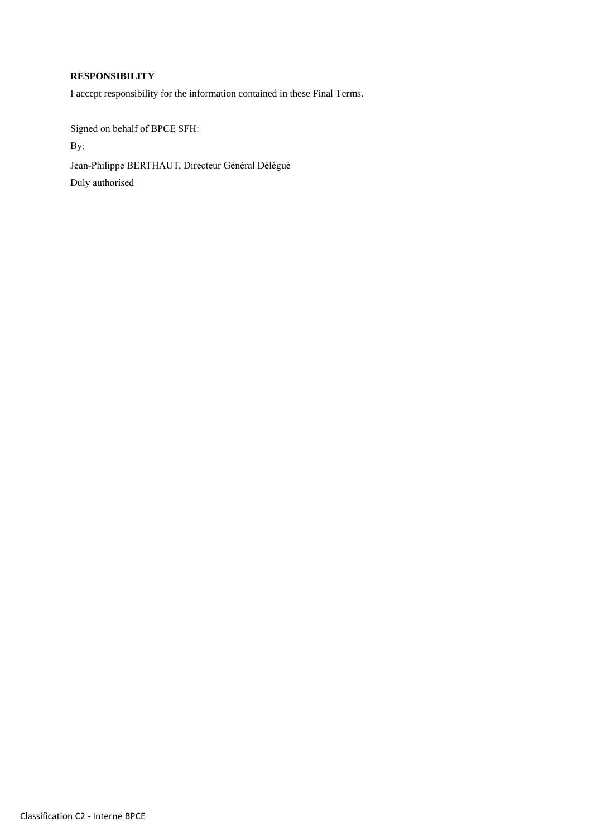# **RESPONSIBILITY**

Duly authorised

I accept responsibility for the information contained in these Final Terms.

Signed on behalf of BPCE SFH: By: Jean-Philippe BERTHAUT, Directeur Général Délégué

Classification C2 - Interne BPCE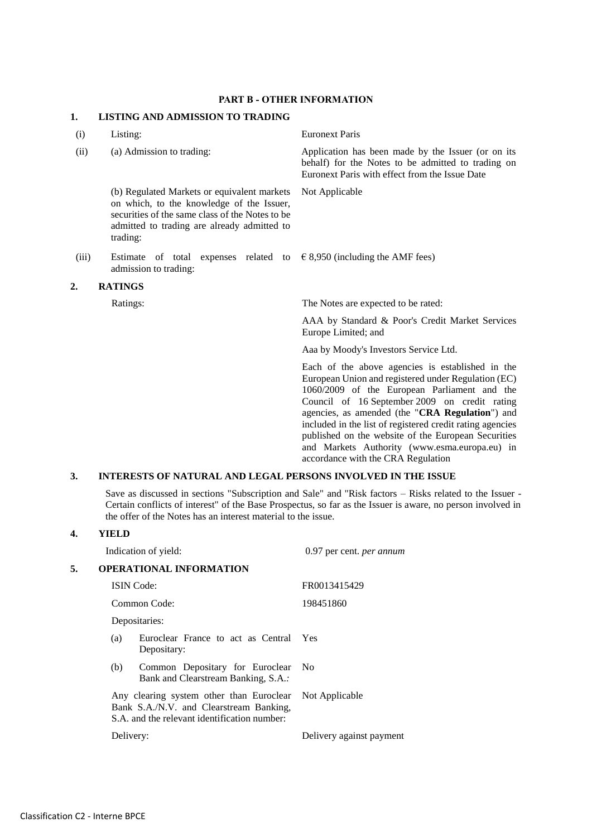#### **PART B - OTHER INFORMATION**

## **1. LISTING AND ADMISSION TO TRADING**

| (i)   | Listing:                                                                                                                                                                                               | <b>Euronext Paris</b>                                                                                                                                                                                                                                                                                                                                                                                                                                                  |  |
|-------|--------------------------------------------------------------------------------------------------------------------------------------------------------------------------------------------------------|------------------------------------------------------------------------------------------------------------------------------------------------------------------------------------------------------------------------------------------------------------------------------------------------------------------------------------------------------------------------------------------------------------------------------------------------------------------------|--|
| (ii)  | (a) Admission to trading:                                                                                                                                                                              | Application has been made by the Issuer (or on its<br>behalf) for the Notes to be admitted to trading on<br>Euronext Paris with effect from the Issue Date                                                                                                                                                                                                                                                                                                             |  |
|       | (b) Regulated Markets or equivalent markets<br>on which, to the knowledge of the Issuer,<br>securities of the same class of the Notes to be<br>admitted to trading are already admitted to<br>trading: | Not Applicable                                                                                                                                                                                                                                                                                                                                                                                                                                                         |  |
| (iii) | Estimate of total<br>admission to trading:                                                                                                                                                             | expenses related to $\epsilon$ 8,950 (including the AMF fees)                                                                                                                                                                                                                                                                                                                                                                                                          |  |
| 2.    | <b>RATINGS</b>                                                                                                                                                                                         |                                                                                                                                                                                                                                                                                                                                                                                                                                                                        |  |
|       | Ratings:                                                                                                                                                                                               | The Notes are expected to be rated:                                                                                                                                                                                                                                                                                                                                                                                                                                    |  |
|       |                                                                                                                                                                                                        | AAA by Standard & Poor's Credit Market Services<br>Europe Limited; and                                                                                                                                                                                                                                                                                                                                                                                                 |  |
|       |                                                                                                                                                                                                        | Aaa by Moody's Investors Service Ltd.                                                                                                                                                                                                                                                                                                                                                                                                                                  |  |
|       |                                                                                                                                                                                                        | Each of the above agencies is established in the<br>European Union and registered under Regulation (EC)<br>1060/2009 of the European Parliament and the<br>Council of 16 September 2009 on credit rating<br>agencies, as amended (the "CRA Regulation") and<br>included in the list of registered credit rating agencies<br>published on the website of the European Securities<br>and Markets Authority (www.esma.europa.eu) in<br>accordance with the CRA Regulation |  |

## **3. INTERESTS OF NATURAL AND LEGAL PERSONS INVOLVED IN THE ISSUE**

Save as discussed in sections "Subscription and Sale" and "Risk factors – Risks related to the Issuer - Certain conflicts of interest" of the Base Prospectus, so far as the Issuer is aware, no person involved in the offer of the Notes has an interest material to the issue.

#### **4. YIELD**

|    | Indication of yield:                                                                                                                               | 0.97 per cent. <i>per annum</i> |
|----|----------------------------------------------------------------------------------------------------------------------------------------------------|---------------------------------|
| 5. | <b>OPERATIONAL INFORMATION</b>                                                                                                                     |                                 |
|    | <b>ISIN</b> Code:                                                                                                                                  | FR0013415429                    |
|    | Common Code:                                                                                                                                       | 198451860                       |
|    | Depositaries:                                                                                                                                      |                                 |
|    | Euroclear France to act as Central<br>(a)<br>Depositary:                                                                                           | <b>Yes</b>                      |
|    | Common Depositary for Euroclear<br>(b)<br>Bank and Clearstream Banking, S.A.:                                                                      | - No                            |
|    | Any clearing system other than Euroclear Not Applicable<br>Bank S.A./N.V. and Clearstream Banking,<br>S.A. and the relevant identification number: |                                 |
|    | Delivery:                                                                                                                                          | Delivery against payment        |
|    |                                                                                                                                                    |                                 |